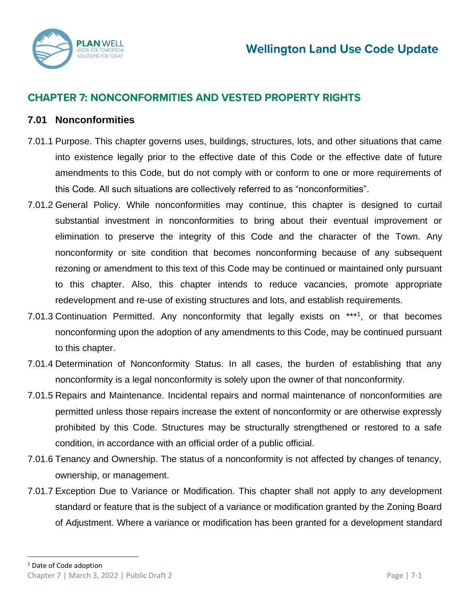

# **CHAPTER 7: NONCONFORMITIES AND VESTED PROPERTY RIGHTS**

### **7.01 Nonconformities**

- 7.01.1 Purpose. This chapter governs uses, buildings, structures, lots, and other situations that came into existence legally prior to the effective date of this Code or the effective date of future amendments to this Code, but do not comply with or conform to one or more requirements of this Code. All such situations are collectively referred to as "nonconformities".
- 7.01.2 General Policy. While nonconformities may continue, this chapter is designed to curtail substantial investment in nonconformities to bring about their eventual improvement or elimination to preserve the integrity of this Code and the character of the Town. Any nonconformity or site condition that becomes nonconforming because of any subsequent rezoning or amendment to this text of this Code may be continued or maintained only pursuant to this chapter. Also, this chapter intends to reduce vacancies, promote appropriate redevelopment and re-use of existing structures and lots, and establish requirements.
- 7.01.3 Continuation Permitted. Any nonconformity that legally exists on \*\*\*1, or that becomes nonconforming upon the adoption of any amendments to this Code, may be continued pursuant to this chapter.
- 7.01.4 Determination of Nonconformity Status. In all cases, the burden of establishing that any nonconformity is a legal nonconformity is solely upon the owner of that nonconformity.
- 7.01.5 Repairs and Maintenance. Incidental repairs and normal maintenance of nonconformities are permitted unless those repairs increase the extent of nonconformity or are otherwise expressly prohibited by this Code. Structures may be structurally strengthened or restored to a safe condition, in accordance with an official order of a public official.
- 7.01.6 Tenancy and Ownership. The status of a nonconformity is not affected by changes of tenancy, ownership, or management.
- 7.01.7 Exception Due to Variance or Modification. This chapter shall not apply to any development standard or feature that is the subject of a variance or modification granted by the Zoning Board of Adjustment. Where a variance or modification has been granted for a development standard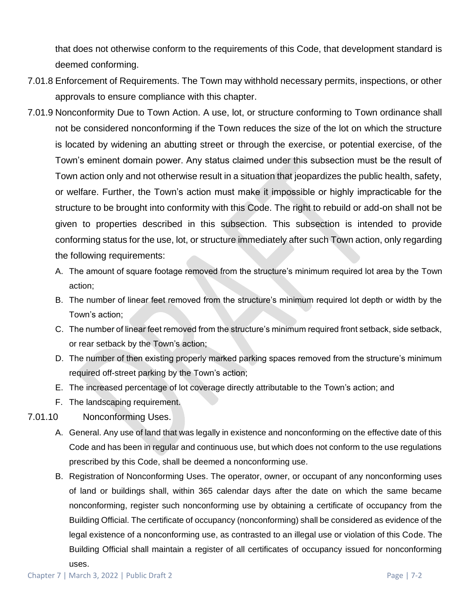that does not otherwise conform to the requirements of this Code, that development standard is deemed conforming.

- 7.01.8 Enforcement of Requirements. The Town may withhold necessary permits, inspections, or other approvals to ensure compliance with this chapter.
- 7.01.9 Nonconformity Due to Town Action. A use, lot, or structure conforming to Town ordinance shall not be considered nonconforming if the Town reduces the size of the lot on which the structure is located by widening an abutting street or through the exercise, or potential exercise, of the Town's eminent domain power. Any status claimed under this subsection must be the result of Town action only and not otherwise result in a situation that jeopardizes the public health, safety, or welfare. Further, the Town's action must make it impossible or highly impracticable for the structure to be brought into conformity with this Code. The right to rebuild or add-on shall not be given to properties described in this subsection. This subsection is intended to provide conforming status for the use, lot, or structure immediately after such Town action, only regarding the following requirements:
	- A. The amount of square footage removed from the structure's minimum required lot area by the Town action;
	- B. The number of linear feet removed from the structure's minimum required lot depth or width by the Town's action;
	- C. The number of linear feet removed from the structure's minimum required front setback, side setback, or rear setback by the Town's action;
	- D. The number of then existing properly marked parking spaces removed from the structure's minimum required off-street parking by the Town's action;
	- E. The increased percentage of lot coverage directly attributable to the Town's action; and
	- F. The landscaping requirement.
- 7.01.10 Nonconforming Uses.
	- A. General. Any use of land that was legally in existence and nonconforming on the effective date of this Code and has been in regular and continuous use, but which does not conform to the use regulations prescribed by this Code, shall be deemed a nonconforming use.
	- B. Registration of Nonconforming Uses. The operator, owner, or occupant of any nonconforming uses of land or buildings shall, within 365 calendar days after the date on which the same became nonconforming, register such nonconforming use by obtaining a certificate of occupancy from the Building Official. The certificate of occupancy (nonconforming) shall be considered as evidence of the legal existence of a nonconforming use, as contrasted to an illegal use or violation of this Code. The Building Official shall maintain a register of all certificates of occupancy issued for nonconforming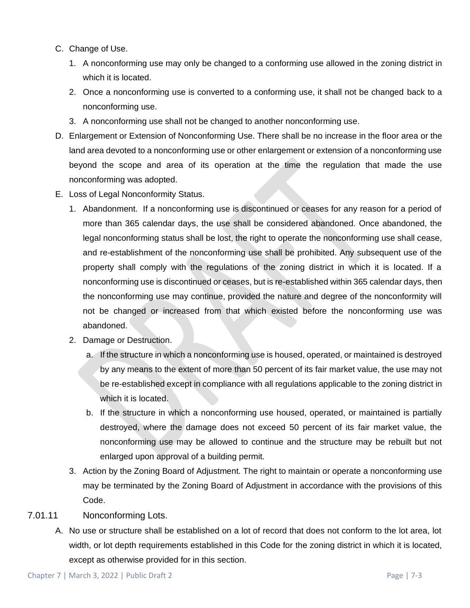- C. Change of Use.
	- 1. A nonconforming use may only be changed to a conforming use allowed in the zoning district in which it is located.
	- 2. Once a nonconforming use is converted to a conforming use, it shall not be changed back to a nonconforming use.
	- 3. A nonconforming use shall not be changed to another nonconforming use.
- D. Enlargement or Extension of Nonconforming Use. There shall be no increase in the floor area or the land area devoted to a nonconforming use or other enlargement or extension of a nonconforming use beyond the scope and area of its operation at the time the regulation that made the use nonconforming was adopted.
- E. Loss of Legal Nonconformity Status.
	- 1. Abandonment. If a nonconforming use is discontinued or ceases for any reason for a period of more than 365 calendar days, the use shall be considered abandoned. Once abandoned, the legal nonconforming status shall be lost, the right to operate the nonconforming use shall cease, and re-establishment of the nonconforming use shall be prohibited. Any subsequent use of the property shall comply with the regulations of the zoning district in which it is located. If a nonconforming use is discontinued or ceases, but is re-established within 365 calendar days, then the nonconforming use may continue, provided the nature and degree of the nonconformity will not be changed or increased from that which existed before the nonconforming use was abandoned.
	- 2. Damage or Destruction.
		- a. If the structure in which a nonconforming use is housed, operated, or maintained is destroyed by any means to the extent of more than 50 percent of its fair market value, the use may not be re-established except in compliance with all regulations applicable to the zoning district in which it is located.
		- b. If the structure in which a nonconforming use housed, operated, or maintained is partially destroyed, where the damage does not exceed 50 percent of its fair market value, the nonconforming use may be allowed to continue and the structure may be rebuilt but not enlarged upon approval of a building permit.
	- 3. Action by the Zoning Board of Adjustment. The right to maintain or operate a nonconforming use may be terminated by the Zoning Board of Adjustment in accordance with the provisions of this Code.
- 7.01.11 Nonconforming Lots.
	- A. No use or structure shall be established on a lot of record that does not conform to the lot area, lot width, or lot depth requirements established in this Code for the zoning district in which it is located, except as otherwise provided for in this section.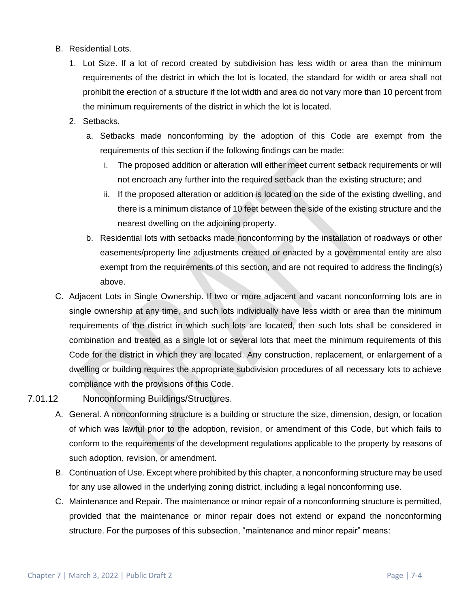- B. Residential Lots.
	- 1. Lot Size. If a lot of record created by subdivision has less width or area than the minimum requirements of the district in which the lot is located, the standard for width or area shall not prohibit the erection of a structure if the lot width and area do not vary more than 10 percent from the minimum requirements of the district in which the lot is located.
	- 2. Setbacks.
		- a. Setbacks made nonconforming by the adoption of this Code are exempt from the requirements of this section if the following findings can be made:
			- i. The proposed addition or alteration will either meet current setback requirements or will not encroach any further into the required setback than the existing structure; and
			- ii. If the proposed alteration or addition is located on the side of the existing dwelling, and there is a minimum distance of 10 feet between the side of the existing structure and the nearest dwelling on the adjoining property.
		- b. Residential lots with setbacks made nonconforming by the installation of roadways or other easements/property line adjustments created or enacted by a governmental entity are also exempt from the requirements of this section, and are not required to address the finding(s) above.
- C. Adjacent Lots in Single Ownership. If two or more adjacent and vacant nonconforming lots are in single ownership at any time, and such lots individually have less width or area than the minimum requirements of the district in which such lots are located, then such lots shall be considered in combination and treated as a single lot or several lots that meet the minimum requirements of this Code for the district in which they are located. Any construction, replacement, or enlargement of a dwelling or building requires the appropriate subdivision procedures of all necessary lots to achieve compliance with the provisions of this Code.

#### 7.01.12 Nonconforming Buildings/Structures.

- A. General. A nonconforming structure is a building or structure the size, dimension, design, or location of which was lawful prior to the adoption, revision, or amendment of this Code, but which fails to conform to the requirements of the development regulations applicable to the property by reasons of such adoption, revision, or amendment.
- B. Continuation of Use. Except where prohibited by this chapter, a nonconforming structure may be used for any use allowed in the underlying zoning district, including a legal nonconforming use.
- C. Maintenance and Repair. The maintenance or minor repair of a nonconforming structure is permitted, provided that the maintenance or minor repair does not extend or expand the nonconforming structure. For the purposes of this subsection, "maintenance and minor repair" means: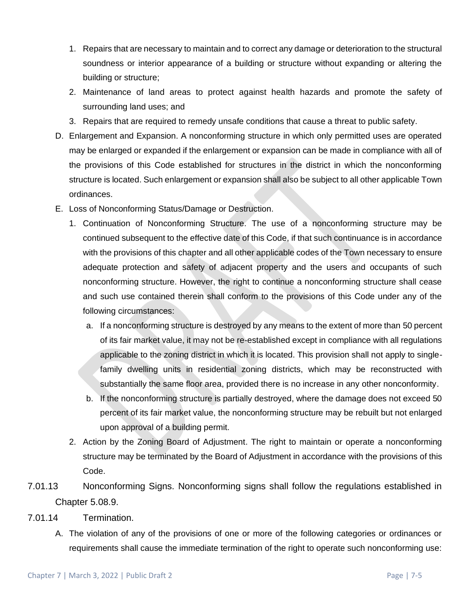- 1. Repairs that are necessary to maintain and to correct any damage or deterioration to the structural soundness or interior appearance of a building or structure without expanding or altering the building or structure;
- 2. Maintenance of land areas to protect against health hazards and promote the safety of surrounding land uses; and
- 3. Repairs that are required to remedy unsafe conditions that cause a threat to public safety.
- D. Enlargement and Expansion. A nonconforming structure in which only permitted uses are operated may be enlarged or expanded if the enlargement or expansion can be made in compliance with all of the provisions of this Code established for structures in the district in which the nonconforming structure is located. Such enlargement or expansion shall also be subject to all other applicable Town ordinances.
- E. Loss of Nonconforming Status/Damage or Destruction.
	- 1. Continuation of Nonconforming Structure. The use of a nonconforming structure may be continued subsequent to the effective date of this Code, if that such continuance is in accordance with the provisions of this chapter and all other applicable codes of the Town necessary to ensure adequate protection and safety of adjacent property and the users and occupants of such nonconforming structure. However, the right to continue a nonconforming structure shall cease and such use contained therein shall conform to the provisions of this Code under any of the following circumstances:
		- a. If a nonconforming structure is destroyed by any means to the extent of more than 50 percent of its fair market value, it may not be re-established except in compliance with all regulations applicable to the zoning district in which it is located. This provision shall not apply to singlefamily dwelling units in residential zoning districts, which may be reconstructed with substantially the same floor area, provided there is no increase in any other nonconformity.
		- b. If the nonconforming structure is partially destroyed, where the damage does not exceed 50 percent of its fair market value, the nonconforming structure may be rebuilt but not enlarged upon approval of a building permit.
	- 2. Action by the Zoning Board of Adjustment. The right to maintain or operate a nonconforming structure may be terminated by the Board of Adjustment in accordance with the provisions of this Code.
- 7.01.13 Nonconforming Signs. Nonconforming signs shall follow the regulations established in Chapter 5.08.9.
- 7.01.14 Termination.
	- A. The violation of any of the provisions of one or more of the following categories or ordinances or requirements shall cause the immediate termination of the right to operate such nonconforming use: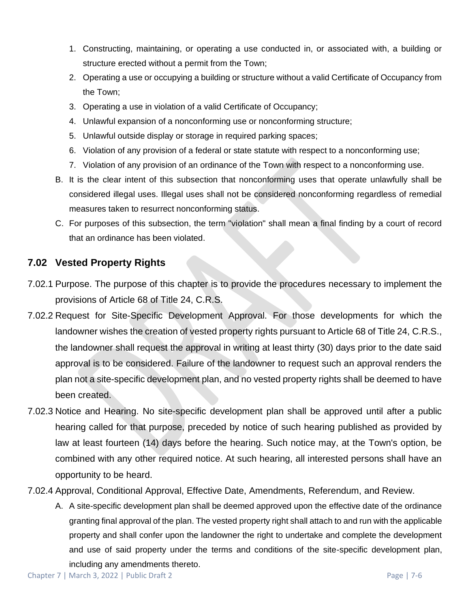- 1. Constructing, maintaining, or operating a use conducted in, or associated with, a building or structure erected without a permit from the Town;
- 2. Operating a use or occupying a building or structure without a valid Certificate of Occupancy from the Town;
- 3. Operating a use in violation of a valid Certificate of Occupancy;
- 4. Unlawful expansion of a nonconforming use or nonconforming structure;
- 5. Unlawful outside display or storage in required parking spaces;
- 6. Violation of any provision of a federal or state statute with respect to a nonconforming use;
- 7. Violation of any provision of an ordinance of the Town with respect to a nonconforming use.
- B. It is the clear intent of this subsection that nonconforming uses that operate unlawfully shall be considered illegal uses. Illegal uses shall not be considered nonconforming regardless of remedial measures taken to resurrect nonconforming status.
- C. For purposes of this subsection, the term "violation" shall mean a final finding by a court of record that an ordinance has been violated.

## **7.02 Vested Property Rights**

- 7.02.1 Purpose. The purpose of this chapter is to provide the procedures necessary to implement the provisions of Article 68 of Title 24, C.R.S.
- 7.02.2 Request for Site-Specific Development Approval. For those developments for which the landowner wishes the creation of vested property rights pursuant to Article 68 of Title 24, C.R.S., the landowner shall request the approval in writing at least thirty (30) days prior to the date said approval is to be considered. Failure of the landowner to request such an approval renders the plan not a site-specific development plan, and no vested property rights shall be deemed to have been created.
- 7.02.3 Notice and Hearing. No site-specific development plan shall be approved until after a public hearing called for that purpose, preceded by notice of such hearing published as provided by law at least fourteen (14) days before the hearing. Such notice may, at the Town's option, be combined with any other required notice. At such hearing, all interested persons shall have an opportunity to be heard.
- 7.02.4 Approval, Conditional Approval, Effective Date, Amendments, Referendum, and Review.
	- A. A site-specific development plan shall be deemed approved upon the effective date of the ordinance granting final approval of the plan. The vested property right shall attach to and run with the applicable property and shall confer upon the landowner the right to undertake and complete the development and use of said property under the terms and conditions of the site-specific development plan, including any amendments thereto.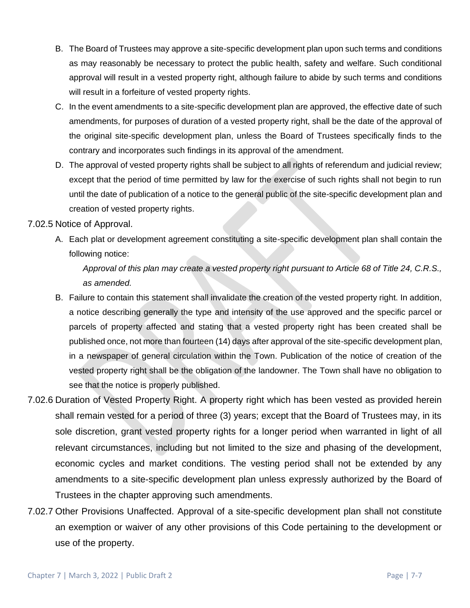- B. The Board of Trustees may approve a site-specific development plan upon such terms and conditions as may reasonably be necessary to protect the public health, safety and welfare. Such conditional approval will result in a vested property right, although failure to abide by such terms and conditions will result in a forfeiture of vested property rights.
- C. In the event amendments to a site-specific development plan are approved, the effective date of such amendments, for purposes of duration of a vested property right, shall be the date of the approval of the original site-specific development plan, unless the Board of Trustees specifically finds to the contrary and incorporates such findings in its approval of the amendment.
- D. The approval of vested property rights shall be subject to all rights of referendum and judicial review; except that the period of time permitted by law for the exercise of such rights shall not begin to run until the date of publication of a notice to the general public of the site-specific development plan and creation of vested property rights.

#### 7.02.5 Notice of Approval.

A. Each plat or development agreement constituting a site-specific development plan shall contain the following notice:

*Approval of this plan may create a vested property right pursuant to Article 68 of Title 24, C.R.S., as amended.*

- B. Failure to contain this statement shall invalidate the creation of the vested property right. In addition, a notice describing generally the type and intensity of the use approved and the specific parcel or parcels of property affected and stating that a vested property right has been created shall be published once, not more than fourteen (14) days after approval of the site-specific development plan, in a newspaper of general circulation within the Town. Publication of the notice of creation of the vested property right shall be the obligation of the landowner. The Town shall have no obligation to see that the notice is properly published.
- 7.02.6 Duration of Vested Property Right. A property right which has been vested as provided herein shall remain vested for a period of three (3) years; except that the Board of Trustees may, in its sole discretion, grant vested property rights for a longer period when warranted in light of all relevant circumstances, including but not limited to the size and phasing of the development, economic cycles and market conditions. The vesting period shall not be extended by any amendments to a site-specific development plan unless expressly authorized by the Board of Trustees in the chapter approving such amendments.
- 7.02.7 Other Provisions Unaffected. Approval of a site-specific development plan shall not constitute an exemption or waiver of any other provisions of this Code pertaining to the development or use of the property.